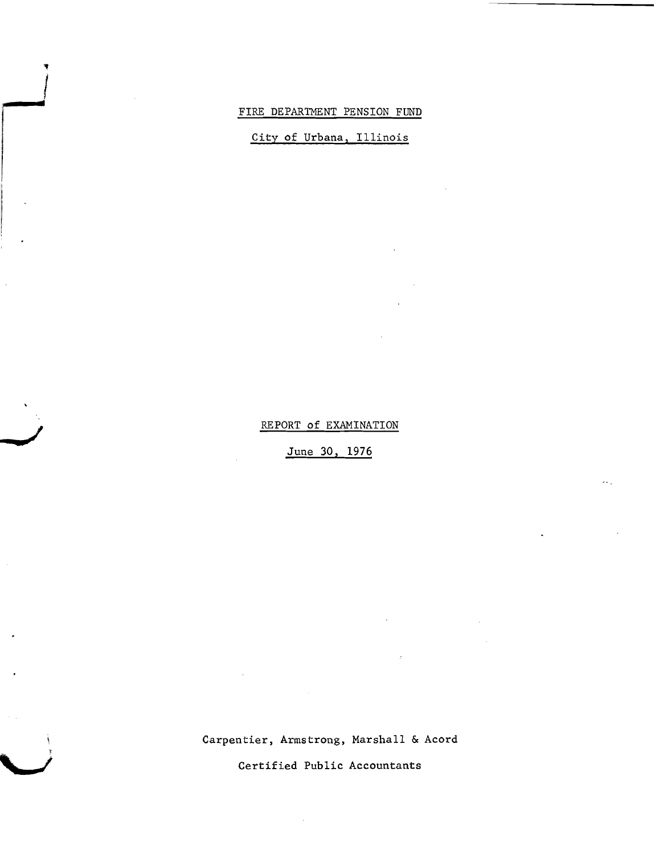#### FIRE DEPARTMENT PENSION FUND

**jIIlP\_\_"f'**!

**/ •**

*'J*

City of Urbana, Illinois

REPORT of EXAMINATION

June 30, 1976

Carpentier, Armstrong, Marshall & Acord

 $\sim$ 

Certified Public Accountants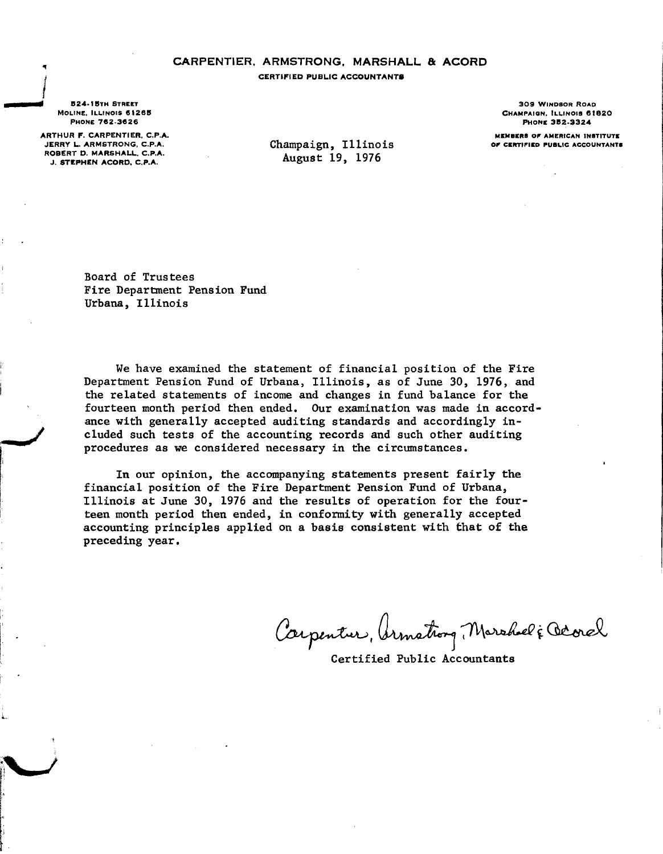### CARPENTIER, ARMSTRONG. MARSHALL & ACORD

CERTIFIED PUBLIC ACCOUNTANTS

**B24.1BTH STREET** MOLINE. ILLINOIS 61265 PHONE 762-3626

'II

**=-/**

L

I

f

r~

ARTHUR F. CARPENTIER. C.P.A. JERRY L. ARMSTRONG, C.P.A. ROBERT D. MARSHALL. C.P.A. J. STEPHEN ACORD. C.P.A.

Champaign, Illinois August 19, 1976

309 WINDSOR ROAD CHAMPAIGN, ILLINOIS 61820 PHONE 352-3324

MEMBERS 01' AMERICAN INSTITUTE OF CERTIFIED PUBLIC ACCOUNTANTS

Board of Trustees Fire Department Pension Fund Urbana, Illinois

We have examined the statement of financial position of the Fire Department Pension Fund of Urbana, Illinois, as of June 30, 1976, and the related statements of income and changes in fund balance for the fourteen month period then ended. Our examination was made in accordance with generally accepted auditing standards and accordingly included such tests of the accounting records and such other auditing procedures as we considered necessary in the circumstances.

In our opinion, the accompanying statements present fairly the financial position of the Fire Department Pension Fund of Urbana, Illinois at June 30, 1976 and the results of operation for the fourteen month period then ended, in confonnity with generally accepted accounting principles applied on a basis consistent with that of the preceding year.

Carpentur, Armathong, Marshall & Octoral

Certified Public Accountants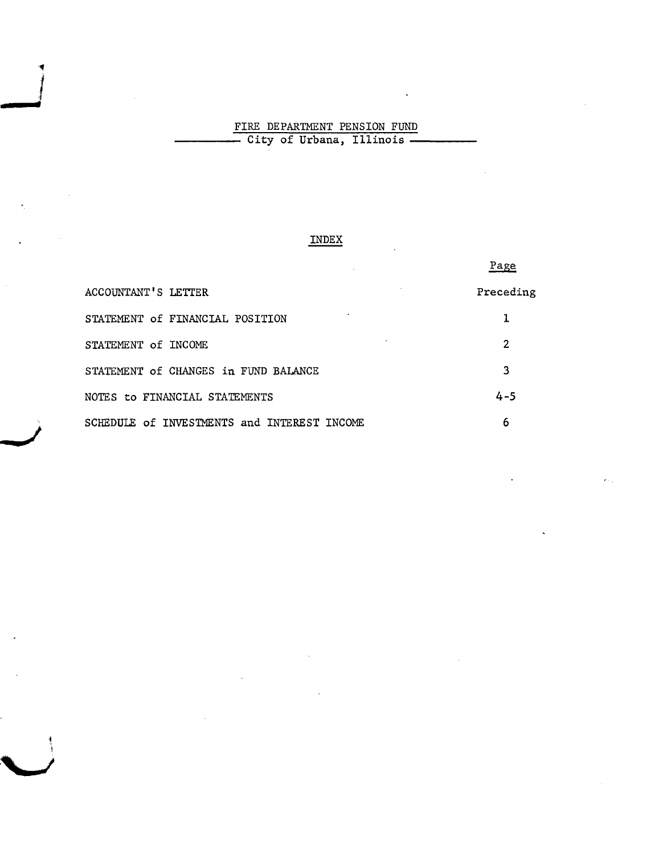## FIRE DEPARTMENT PENSION FUND ----- City of Urbana, Illinois -----

",. I<br>I<br>I

**... - ..,**

> **/ =**

### INDEX

|                                             | Page      |
|---------------------------------------------|-----------|
| <b>ACCOUNTANT'S LETTER</b>                  | Preceding |
| STATEMENT of FINANCIAL POSITION             |           |
| STATEMENT of INCOME                         | 2         |
| STATEMENT of CHANGES in FUND BALANCE        | 3         |
| NOTES to FINANCIAL STATEMENTS               | $4 - 5$   |
| SCHEDULE of INVESTMENTS and INTEREST INCOME | 6         |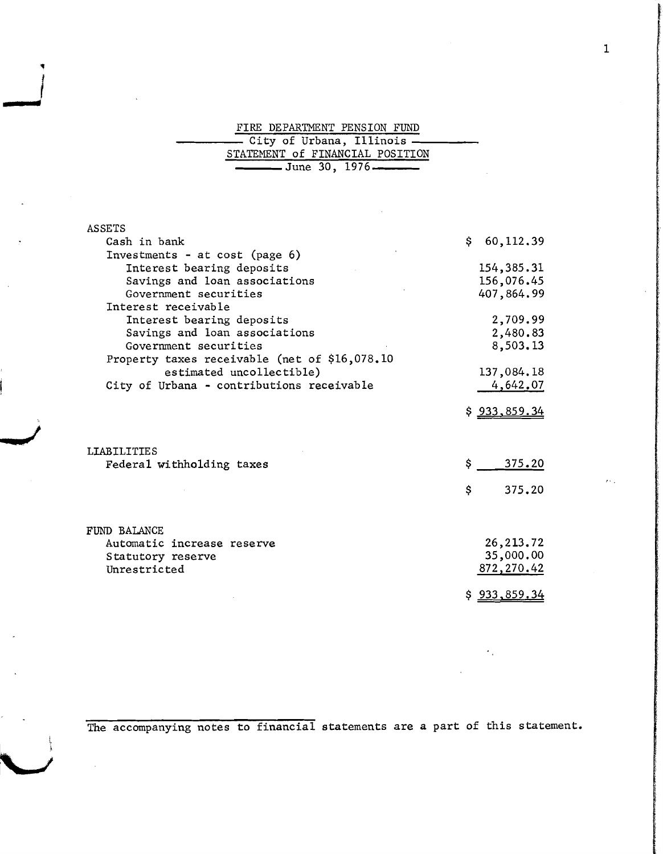#### FIRE DEPARTMENT PENSION FUND

1

*\_\_.1'*I

**d • .!**

| STATEMENT of FINANCIAL POSITION |  |
|---------------------------------|--|
| $\frac{1}{2}$ June 30, 1976     |  |

| ASSETS                                        |                      |
|-----------------------------------------------|----------------------|
| Cash in bank                                  | 60, 112, 39<br>\$.   |
| Investments - at cost (page 6)                |                      |
| Interest bearing deposits                     | 154, 385. 31         |
| Savings and loan associations                 | 156,076.45           |
| Government securities                         | 407,864.99           |
| Interest receivable                           |                      |
| Interest bearing deposits                     | 2,709.99             |
| Savings and loan associations                 | 2,480.83             |
| Government securities                         | 8,503.13             |
| Property taxes receivable (net of \$16,078.10 |                      |
| estimated uncollectible)                      | 137,084.18           |
| City of Urbana - contributions receivable     | 4,642.07             |
|                                               |                      |
|                                               | \$ <u>933,859.34</u> |
|                                               |                      |
|                                               |                      |
| <b>LIABILITIES</b>                            |                      |
| Federal withholding taxes                     | \$<br>375.20         |
|                                               |                      |
|                                               | \$<br>375.20         |
|                                               |                      |
|                                               |                      |
| FUND BALANCE                                  |                      |
| Automatic increase reserve                    | 26,213.72            |
| Statutory reserve                             | 35,000.00            |
| Unrestricted                                  | 872, 270.42          |
|                                               |                      |
|                                               | \$933,859.34         |

The accompanying notes to financial statements are a part of this statement.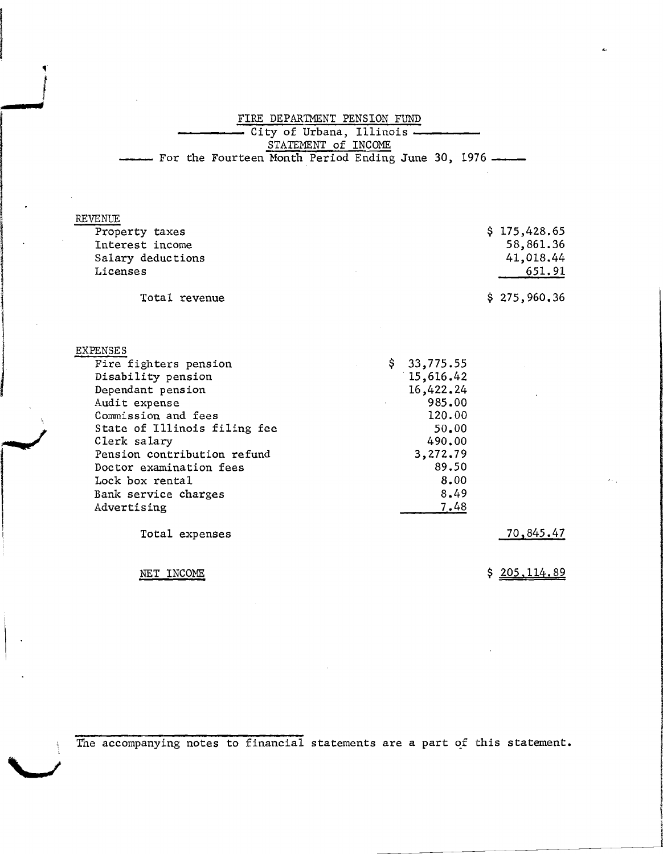FIRE DEPARTMENT PENSION FUND City of Urbana, Illinois . STATEMENT of INCOME - For the Fourteen Month Period Ending June 30, 1976 -

| REVENUE           |              |
|-------------------|--------------|
| Property taxes    | \$175,428.65 |
| Interest income   | 58,861.36    |
| Salary deductions | 41,018.44    |
| Licenses          | 651.91       |
| Total revenue     | \$275,960,36 |

EXPENSES *Fire* fighters pension Disability pension Dependant pension Audit expense Commission and fees State of Illinois filing fee Clerk salary Pension contribution refund Doctor examination fees Lock box rental Bank service charges Advertising \$ 33,775.55 ·15,616.42 16,422.24 985.00 120.00 50.00 490.00 3,272.79 89.50 8.00 8.49 7.48

Total expenses

NET INCOME

"

**..-/**

alaysininininin<br>1 the project of the contract of

\

i<br>Participante de la Participante de la Participa<br>Participante de la Participante de la Participante de la Participante de la Participante de la Participante d

**"**

**/**

70,845.47

\$ 205,114.89

The accompanying notes to financial statements are a part of this statement.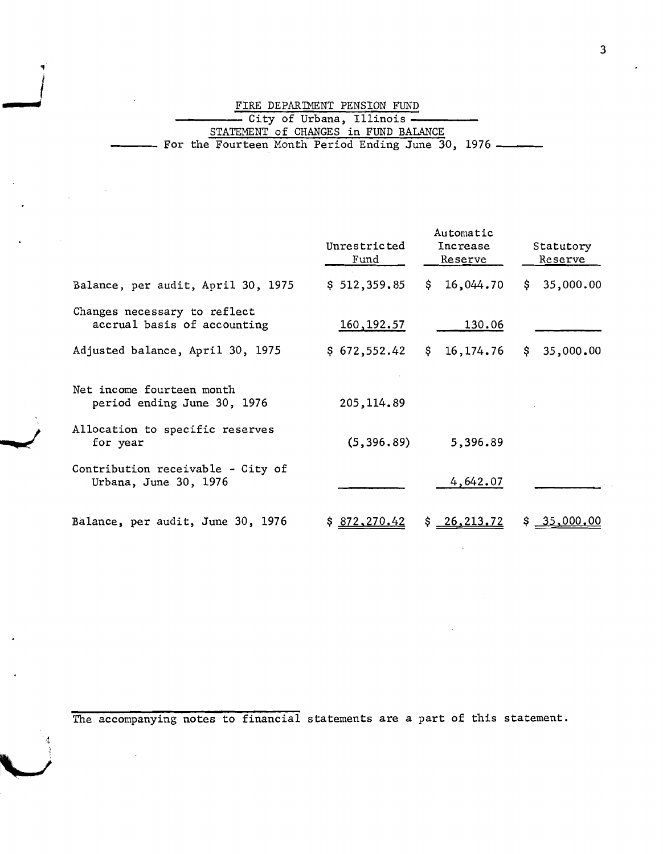FIRE DEPARTMENT PENSION FUND<br>----- City of Urbana, Illinois<br>STATEMENT of CHANGES in FUND BALANCE For the Fourteen Month Period Ending June 30, 1976 **\_\_**

 $\frac{1}{\sqrt{2}}$ 

|                                                             | Unrestricted<br>Fund | Automatic<br>Increase<br>Reserve | Statutory<br>Reserve |
|-------------------------------------------------------------|----------------------|----------------------------------|----------------------|
| Balance, per audit, April 30, 1975                          | \$512,359.85         | 16,044.70<br>\$.                 | 35,000.00<br>S.      |
| Changes necessary to reflect<br>accrual basis of accounting | 160, 192.57          | 130.06                           |                      |
| Adjusted balance, April 30, 1975                            | \$672,552.42         | \$<br>16, 174. 76                | 35,000.00<br>Ş.      |
| Net income fourteen month<br>period ending June 30, 1976    | 205, 114.89          |                                  |                      |
| Allocation to specific reserves<br>for year                 | (5, 396.89)          | 5,396.89                         |                      |
| Contribution receivable - City of<br>Urbana, June 30, 1976  |                      | 4,642.07                         |                      |
| Balance, per audit, June 30, 1976                           | \$872,270.42         | \$26, 213, 72                    | 35,000,00            |

The accompanying notes to financial statements are a part of this statement.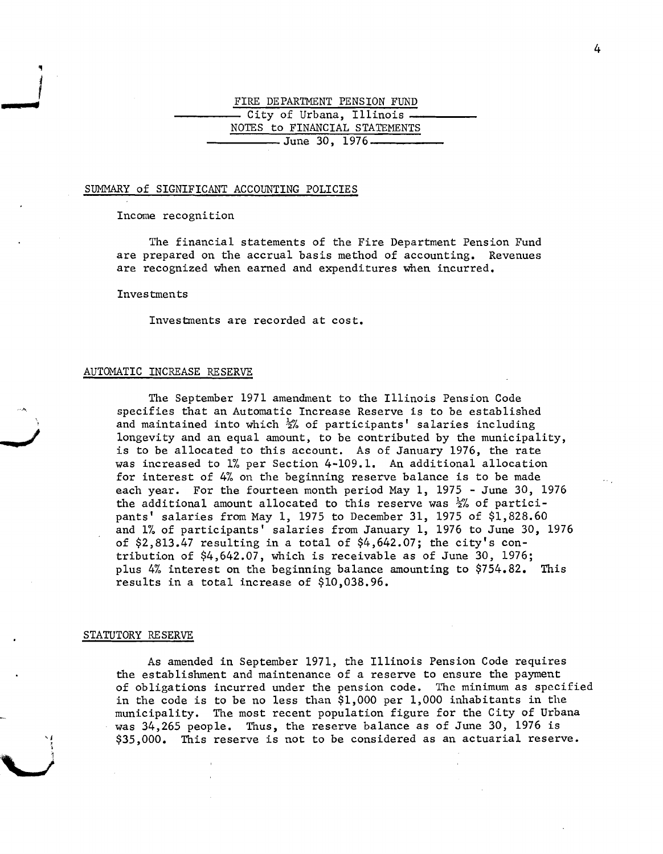# **FIRE DEPARTMENT PENSION FUND**<br>
City of Urbana, Illinois - City of Urbana, Illinois<br>NOTES to FINANCIAL STATEMENTS<br>June 30, 1976-

#### SUMMARY of SIGNIFICANT ACCOUNTING POLICIES

Income recognition

The financial statements of the Fire Department Pension Fund are prepared on the accrual basis method of accounting. Revenues are recognized when earned and expenditures when incurred.

Investments

Investments are recorded at cost.

#### AUTOMATIC INCREASE RESERVE

The September 1971 amendment to the Illinois Pension Code specifies that an Automatic Increase Reserve is to be established and maintained into which  $\frac{1}{2}$  of participants' salaries including longevity and an equal amount, to be contributed by the municipality, is to be allocated to this account. As of January 1976, the rate was increased to 1% per Section 4-109.1. An additional allocation for interest of 4% on the beginning reserve balance is to be made each year. For the fourteen month period May 1, 1975 - June 30, 1976 the additional amount allocated to this reserve was  $\frac{1}{2}$  of participants' salaries from May 1, 1975 to December 31, 1975 of \$1,828.60 and 1% of participants' salaries from January 1, 1976 to June 30, 1976 of  $$2,813.47$  resulting in a total of  $$4,642.07$ ; the city's contribution of \$4,642.07, which is receivable as of June 30, 1976; plus 4% interest on the beginning balance amounting to \$754.82. This results in a total increase of \$10,038.96.

#### STATUTORY RESERVE

As amended in September 1971, the Illinois Pension Code requires the establishment and maintenance of a reserve to ensure the payment of obligations incurred under the pension code. The minimum as specified in the code is to be no less than \$1,000 per 1,000 inhabitants in the municipality. The most recent population figure for the City of Urbana was 34,265 people. Thus, the reserve balance as of June 30, 1976 is \$35,000. This reserve is not to be considered as an actuarial reserve.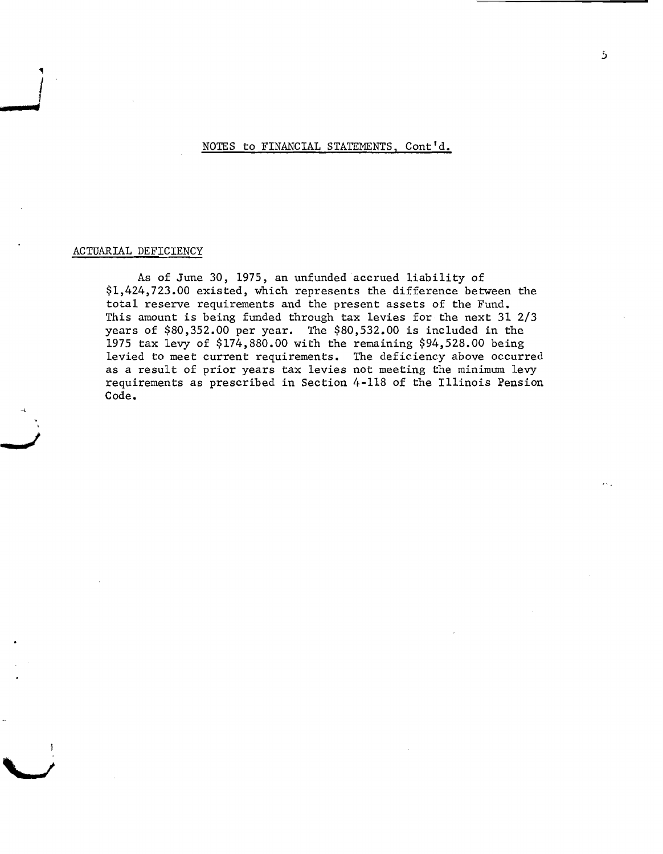NOTES to FINANCIAL STATEMENTS, Cont'd.

#### ACTUARIAL DEFICIENCY

**•**

.,

As of June 30, 1975, an unfunded accrued liability of \$1,424,723.00 existed, which represents the difference between the total reserve requirements and the present assets of the Fund. This amount is being funded through tax levies for the next 31 2/3 years of \$80,352.00 per year. The \$80,532.00 is included in the 1975 tax levy of \$174,880.00 with the remaining \$94,528.00 being levied to meet current requirements. The deficiency above occurred as a result of prior years tax levies not meeting the minimum levy requirements as prescribed in Section 4-118 of the Illinois Pension Code.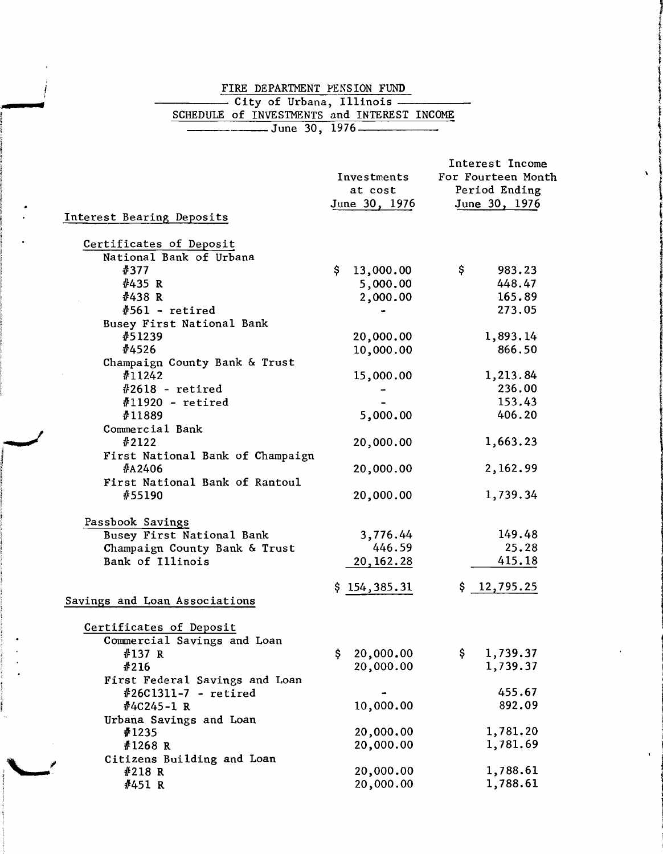## FIRE DEPARTMENT PENSION FUND<br>
City of Urbana, Illinois<br>
SCHEDULE of INVESTMENTS and INTEREST INCOME FIRE DEPARTMENT PENSION FUND

**•**

|                                                        |                              | Interest Income      |              |
|--------------------------------------------------------|------------------------------|----------------------|--------------|
|                                                        | Investments                  | For Fourteen Month   | $\mathbf{v}$ |
|                                                        | at cost                      | Period Ending        |              |
|                                                        | June 30, 1976                | June 30, 1976        |              |
| Interest Bearing Deposits                              |                              |                      |              |
|                                                        |                              |                      |              |
| Certificates of Deposit                                |                              |                      |              |
| National Bank of Urbana                                |                              |                      |              |
| #377                                                   | 13,000.00<br>S.              | Ş.<br>983.23         |              |
| #435 R                                                 | 5,000.00                     | 448.47               |              |
| #438 R                                                 | 2,000.00                     | 165.89               |              |
| $#561$ - retired                                       |                              | 273.05               |              |
| Busey First National Bank                              |                              |                      |              |
| #51239                                                 | 20,000.00                    | 1,893.14             |              |
| #4526                                                  | 10,000.00                    | 866.50               |              |
| Champaign County Bank & Trust                          |                              |                      |              |
| #11242                                                 | 15,000.00                    | 1,213.84             |              |
| $\#2618$ - retired                                     |                              | 236.00               |              |
| $#11920$ - retired                                     |                              | 153.43               |              |
| #11889                                                 | 5,000.00                     | 406.20               |              |
| Commercial Bank                                        |                              |                      |              |
| #2122                                                  | 20,000.00                    | 1,663.23             |              |
| First National Bank of Champaign                       |                              |                      |              |
| #A2406                                                 | 20,000.00                    | 2,162.99             |              |
| First National Bank of Rantoul                         |                              |                      |              |
| #55190                                                 | 20,000.00                    | 1,739.34             |              |
|                                                        |                              |                      |              |
| Passbook Savings                                       |                              | 149.48               |              |
| Busey First National Bank                              | 3,776.44<br>446.59           |                      |              |
| Champaign County Bank & Trust                          |                              | 25.28                |              |
| Bank of Illinois                                       | 20, 162. 28                  | 415.18               |              |
|                                                        | \$154,385.31                 | \$12,795.25          |              |
| Savings and Loan Associations                          |                              |                      |              |
|                                                        |                              |                      |              |
| Certificates of Deposit<br>Commercial Savings and Loan |                              |                      |              |
|                                                        |                              | \$                   |              |
| #137 R                                                 | 20,000.00<br>S.<br>20,000.00 | 1,739.37<br>1,739.37 |              |
| #216                                                   |                              |                      |              |
| First Federal Savings and Loan                         |                              |                      |              |
| $#26C1311-7 - retired$                                 |                              | 455.67               |              |
| #4C245-1 R                                             | 10,000.00                    | 892.09               |              |
|                                                        |                              |                      |              |
| Urbana Savings and Loan                                |                              |                      |              |
| ∦1235                                                  | 20,000.00                    | 1,781.20             |              |
| #1268 R                                                | 20,000.00                    | 1,781.69             |              |
| Citizens Building and Loan                             |                              |                      |              |
| #218 R<br>#451 R                                       | 20,000.00<br>20,000.00       | 1,788.61<br>1,788.61 |              |

1,